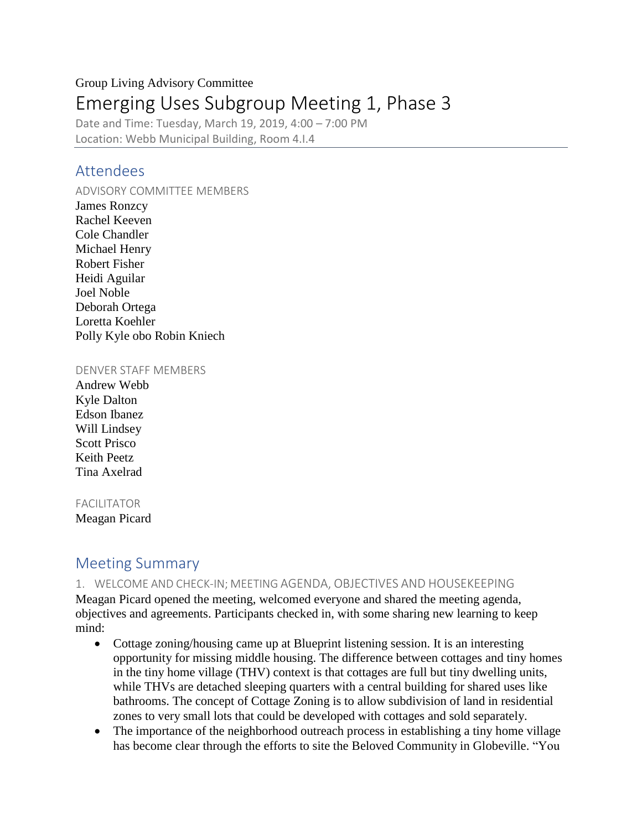# Group Living Advisory Committee Emerging Uses Subgroup Meeting 1, Phase 3

Date and Time: Tuesday, March 19, 2019, 4:00 – 7:00 PM Location: Webb Municipal Building, Room 4.I.4

### Attendees

#### ADVISORY COMMITTEE MEMBERS

James Ronzcy Rachel Keeven Cole Chandler Michael Henry Robert Fisher Heidi Aguilar Joel Noble Deborah Ortega Loretta Koehler Polly Kyle obo Robin Kniech

#### DENVER STAFF MEMBERS

Andrew Webb Kyle Dalton Edson Ibanez Will Lindsey Scott Prisco Keith Peetz Tina Axelrad

#### FACILITATOR

Meagan Picard

## Meeting Summary

#### 1. WELCOME AND CHECK-IN; MEETING AGENDA, OBJECTIVES AND HOUSEKEEPING

Meagan Picard opened the meeting, welcomed everyone and shared the meeting agenda, objectives and agreements. Participants checked in, with some sharing new learning to keep mind:

- Cottage zoning/housing came up at Blueprint listening session. It is an interesting opportunity for missing middle housing. The difference between cottages and tiny homes in the tiny home village (THV) context is that cottages are full but tiny dwelling units, while THVs are detached sleeping quarters with a central building for shared uses like bathrooms. The concept of Cottage Zoning is to allow subdivision of land in residential zones to very small lots that could be developed with cottages and sold separately.
- The importance of the neighborhood outreach process in establishing a tiny home village has become clear through the efforts to site the Beloved Community in Globeville. "You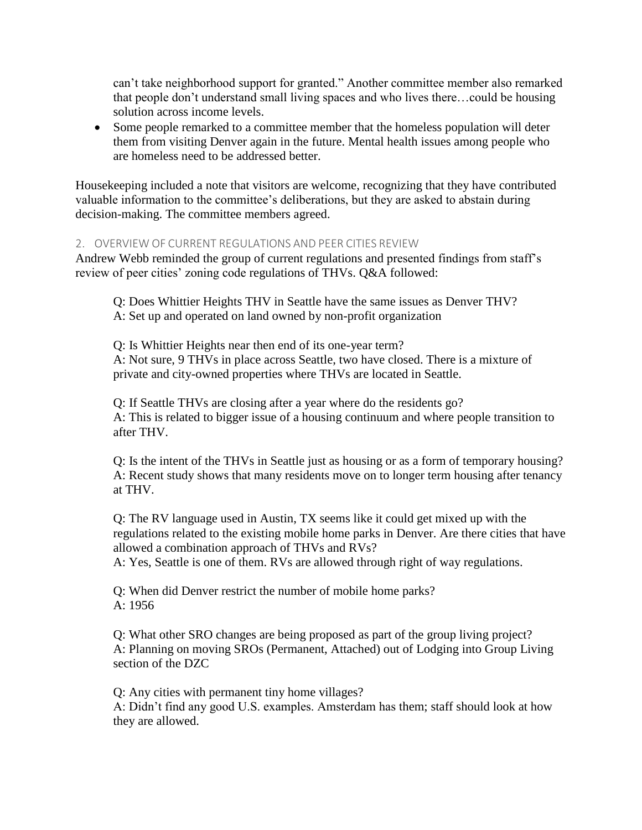can't take neighborhood support for granted." Another committee member also remarked that people don't understand small living spaces and who lives there…could be housing solution across income levels.

• Some people remarked to a committee member that the homeless population will deter them from visiting Denver again in the future. Mental health issues among people who are homeless need to be addressed better.

Housekeeping included a note that visitors are welcome, recognizing that they have contributed valuable information to the committee's deliberations, but they are asked to abstain during decision-making. The committee members agreed.

#### 2. OVERVIEW OF CURRENT REGULATIONS AND PEER CITIES REVIEW

Andrew Webb reminded the group of current regulations and presented findings from staff's review of peer cities' zoning code regulations of THVs. Q&A followed:

Q: Does Whittier Heights THV in Seattle have the same issues as Denver THV? A: Set up and operated on land owned by non-profit organization

Q: Is Whittier Heights near then end of its one-year term? A: Not sure, 9 THVs in place across Seattle, two have closed. There is a mixture of private and city-owned properties where THVs are located in Seattle.

Q: If Seattle THVs are closing after a year where do the residents go? A: This is related to bigger issue of a housing continuum and where people transition to after THV.

Q: Is the intent of the THVs in Seattle just as housing or as a form of temporary housing? A: Recent study shows that many residents move on to longer term housing after tenancy at THV.

Q: The RV language used in Austin, TX seems like it could get mixed up with the regulations related to the existing mobile home parks in Denver. Are there cities that have allowed a combination approach of THVs and RVs?

A: Yes, Seattle is one of them. RVs are allowed through right of way regulations.

Q: When did Denver restrict the number of mobile home parks? A: 1956

Q: What other SRO changes are being proposed as part of the group living project? A: Planning on moving SROs (Permanent, Attached) out of Lodging into Group Living section of the DZC

Q: Any cities with permanent tiny home villages?

A: Didn't find any good U.S. examples. Amsterdam has them; staff should look at how they are allowed.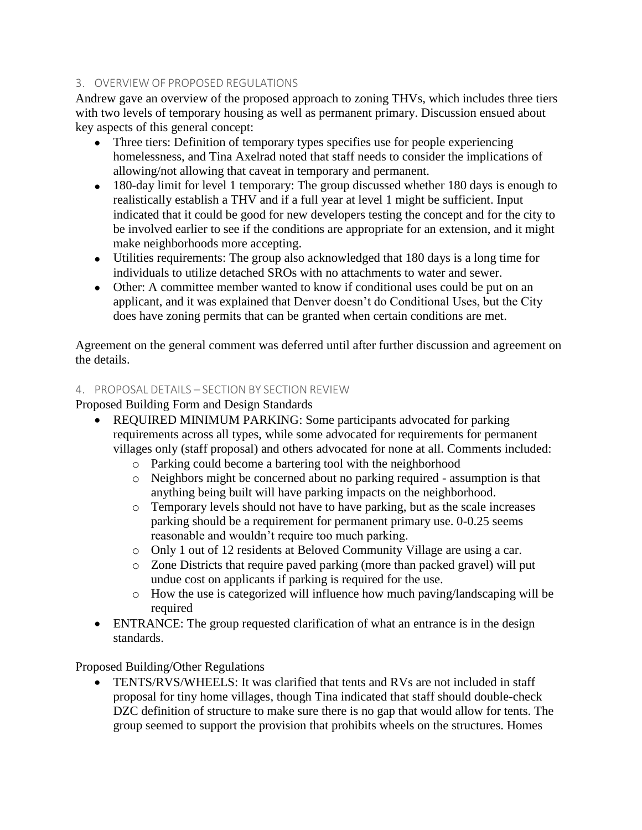#### 3. OVERVIEW OF PROPOSED REGULATIONS

Andrew gave an overview of the proposed approach to zoning THVs, which includes three tiers with two levels of temporary housing as well as permanent primary. Discussion ensued about key aspects of this general concept:

- Three tiers: Definition of temporary types specifies use for people experiencing homelessness, and Tina Axelrad noted that staff needs to consider the implications of allowing/not allowing that caveat in temporary and permanent.
- 180-day limit for level 1 temporary: The group discussed whether 180 days is enough to realistically establish a THV and if a full year at level 1 might be sufficient. Input indicated that it could be good for new developers testing the concept and for the city to be involved earlier to see if the conditions are appropriate for an extension, and it might make neighborhoods more accepting.
- Utilities requirements: The group also acknowledged that 180 days is a long time for individuals to utilize detached SROs with no attachments to water and sewer.
- Other: A committee member wanted to know if conditional uses could be put on an applicant, and it was explained that Denver doesn't do Conditional Uses, but the City does have zoning permits that can be granted when certain conditions are met.

Agreement on the general comment was deferred until after further discussion and agreement on the details.

### 4. PROPOSAL DETAILS – SECTION BY SECTION REVIEW

Proposed Building Form and Design Standards

- REQUIRED MINIMUM PARKING: Some participants advocated for parking requirements across all types, while some advocated for requirements for permanent villages only (staff proposal) and others advocated for none at all. Comments included:
	- o Parking could become a bartering tool with the neighborhood
	- o Neighbors might be concerned about no parking required assumption is that anything being built will have parking impacts on the neighborhood.
	- o Temporary levels should not have to have parking, but as the scale increases parking should be a requirement for permanent primary use. 0-0.25 seems reasonable and wouldn't require too much parking.
	- o Only 1 out of 12 residents at Beloved Community Village are using a car.
	- o Zone Districts that require paved parking (more than packed gravel) will put undue cost on applicants if parking is required for the use.
	- o How the use is categorized will influence how much paving/landscaping will be required
- ENTRANCE: The group requested clarification of what an entrance is in the design standards.

Proposed Building/Other Regulations

• TENTS/RVS/WHEELS: It was clarified that tents and RVs are not included in staff proposal for tiny home villages, though Tina indicated that staff should double-check DZC definition of structure to make sure there is no gap that would allow for tents. The group seemed to support the provision that prohibits wheels on the structures. Homes